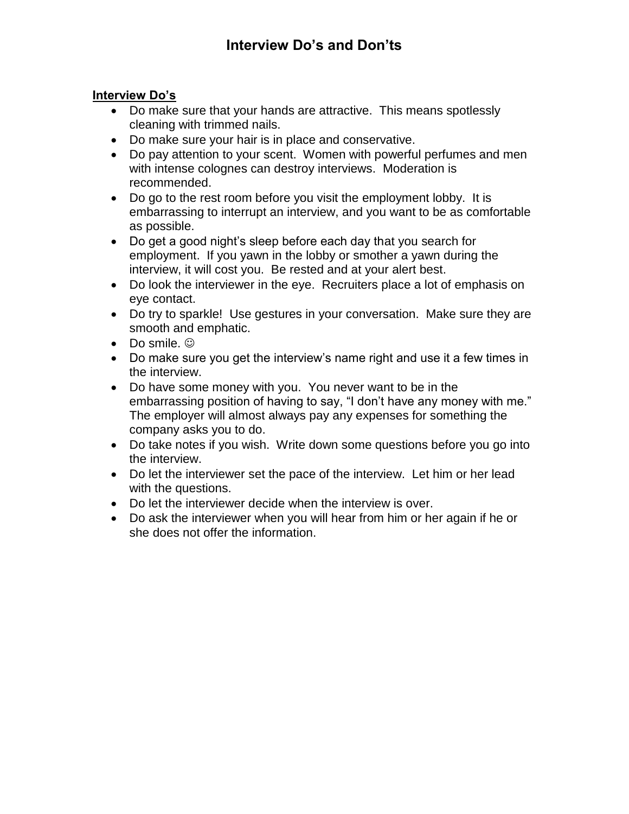## **Interview Do's**

- Do make sure that your hands are attractive. This means spotlessly cleaning with trimmed nails.
- Do make sure your hair is in place and conservative.
- Do pay attention to your scent. Women with powerful perfumes and men with intense colognes can destroy interviews. Moderation is recommended.
- Do go to the rest room before you visit the employment lobby. It is embarrassing to interrupt an interview, and you want to be as comfortable as possible.
- Do get a good night's sleep before each day that you search for employment. If you yawn in the lobby or smother a yawn during the interview, it will cost you. Be rested and at your alert best.
- Do look the interviewer in the eye. Recruiters place a lot of emphasis on eye contact.
- Do try to sparkle! Use gestures in your conversation. Make sure they are smooth and emphatic.
- Do smile.  $\odot$
- Do make sure you get the interview's name right and use it a few times in the interview.
- Do have some money with you. You never want to be in the embarrassing position of having to say, "I don't have any money with me." The employer will almost always pay any expenses for something the company asks you to do.
- Do take notes if you wish. Write down some questions before you go into the interview.
- Do let the interviewer set the pace of the interview. Let him or her lead with the questions.
- Do let the interviewer decide when the interview is over.
- Do ask the interviewer when you will hear from him or her again if he or she does not offer the information.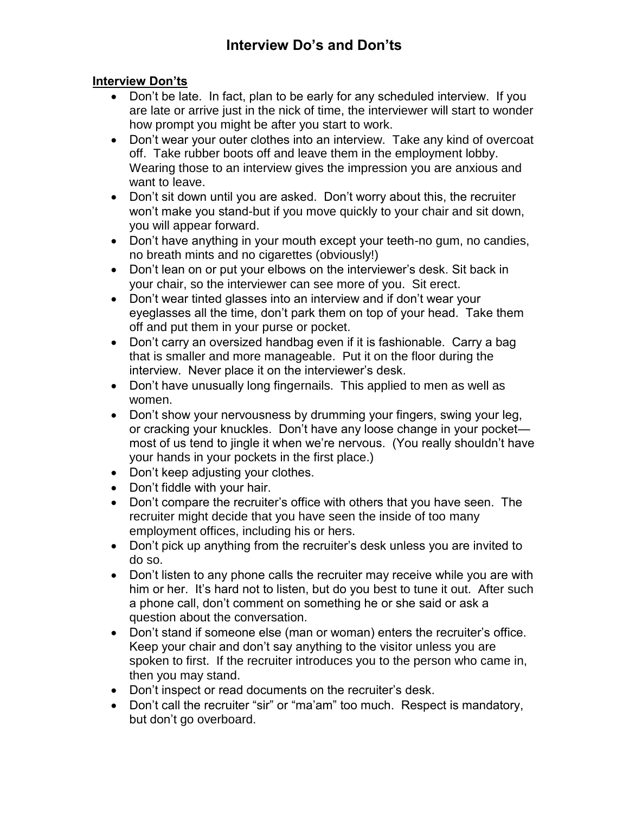## **Interview Do's and Don'ts**

## **Interview Don'ts**

- Don't be late. In fact, plan to be early for any scheduled interview. If you are late or arrive just in the nick of time, the interviewer will start to wonder how prompt you might be after you start to work.
- Don't wear your outer clothes into an interview. Take any kind of overcoat off. Take rubber boots off and leave them in the employment lobby. Wearing those to an interview gives the impression you are anxious and want to leave.
- Don't sit down until you are asked. Don't worry about this, the recruiter won't make you stand-but if you move quickly to your chair and sit down, you will appear forward.
- Don't have anything in your mouth except your teeth-no gum, no candies, no breath mints and no cigarettes (obviously!)
- Don't lean on or put your elbows on the interviewer's desk. Sit back in your chair, so the interviewer can see more of you. Sit erect.
- Don't wear tinted glasses into an interview and if don't wear your eyeglasses all the time, don't park them on top of your head. Take them off and put them in your purse or pocket.
- Don't carry an oversized handbag even if it is fashionable. Carry a bag that is smaller and more manageable. Put it on the floor during the interview. Never place it on the interviewer's desk.
- Don't have unusually long fingernails. This applied to men as well as women.
- Don't show your nervousness by drumming your fingers, swing your leg, or cracking your knuckles. Don't have any loose change in your pocket most of us tend to jingle it when we're nervous. (You really shouldn't have your hands in your pockets in the first place.)
- Don't keep adjusting your clothes.
- Don't fiddle with your hair.
- Don't compare the recruiter's office with others that you have seen. The recruiter might decide that you have seen the inside of too many employment offices, including his or hers.
- Don't pick up anything from the recruiter's desk unless you are invited to do so.
- Don't listen to any phone calls the recruiter may receive while you are with him or her. It's hard not to listen, but do you best to tune it out. After such a phone call, don't comment on something he or she said or ask a question about the conversation.
- Don't stand if someone else (man or woman) enters the recruiter's office. Keep your chair and don't say anything to the visitor unless you are spoken to first. If the recruiter introduces you to the person who came in, then you may stand.
- Don't inspect or read documents on the recruiter's desk.
- Don't call the recruiter "sir" or "ma'am" too much. Respect is mandatory, but don't go overboard.